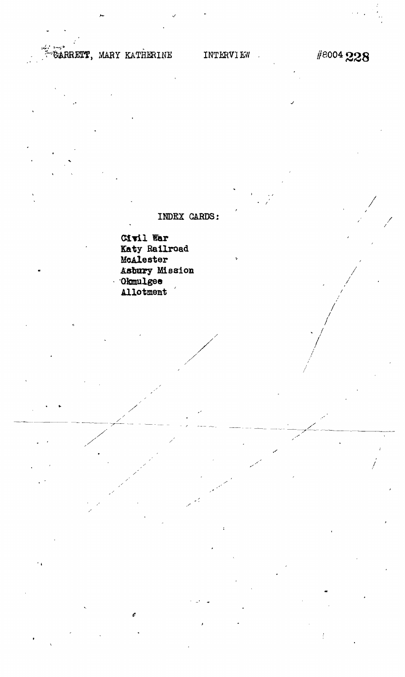## GÁRRETT, MARY KATHERINE

## #8004 228

INDEX CARDS:

Civil War Katy Railroad McAlester Asbury Mission Okmulgee Allotment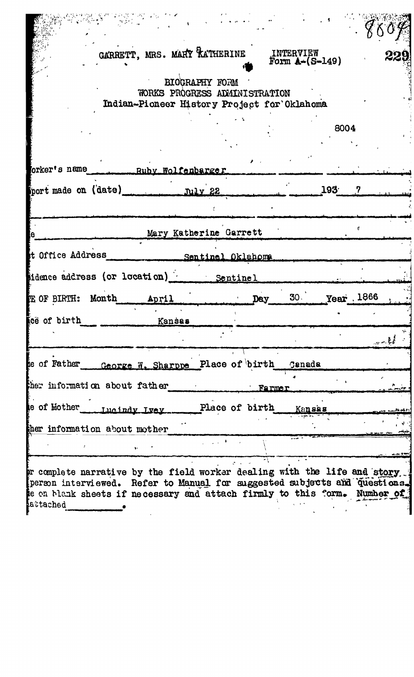| GARRETT, MRS. MARY RATHERINE<br><b>INTERVIEW</b>                                                                                                                                                                                                |                                    |
|-------------------------------------------------------------------------------------------------------------------------------------------------------------------------------------------------------------------------------------------------|------------------------------------|
| Form $A-(S-149)$                                                                                                                                                                                                                                | 229                                |
| BIOGRAPHY FORM<br>WORKS PROGRESS ADMINISTRATION<br>Indian-Pioneer History Project for Oklahoma                                                                                                                                                  |                                    |
| 8004                                                                                                                                                                                                                                            |                                    |
| orker's name Ruby Wolfenbarger                                                                                                                                                                                                                  |                                    |
| port made on (date)<br>193<br>July 22<br>7                                                                                                                                                                                                      |                                    |
|                                                                                                                                                                                                                                                 |                                    |
| Mary Katherine Garrett                                                                                                                                                                                                                          |                                    |
| t Office Address<br>Sentinel Oklahoma                                                                                                                                                                                                           |                                    |
| idence address (or location) Sentinel                                                                                                                                                                                                           |                                    |
| 30 Year 1866<br>E OF BIRTH: Month<br>April<br>Day                                                                                                                                                                                               |                                    |
| tee of birth<br>Kansas                                                                                                                                                                                                                          |                                    |
|                                                                                                                                                                                                                                                 | $\mathbb{R}^n \times \mathbb{R}^n$ |
| te of Father George W. Sharppe Place of birth Ganada                                                                                                                                                                                            |                                    |
| ther information about father<br><b>Farmer</b>                                                                                                                                                                                                  |                                    |
| Place of birth Kansas                                                                                                                                                                                                                           |                                    |
| ther information about mother                                                                                                                                                                                                                   |                                    |
|                                                                                                                                                                                                                                                 |                                    |
| pr complete narrative by the field worker dealing with the life and story<br>person interviewed. Refer to Manual for suggested subjects and questions.<br>te on blank sheets if necessary and attach firmly to this form. Number of<br>attached |                                    |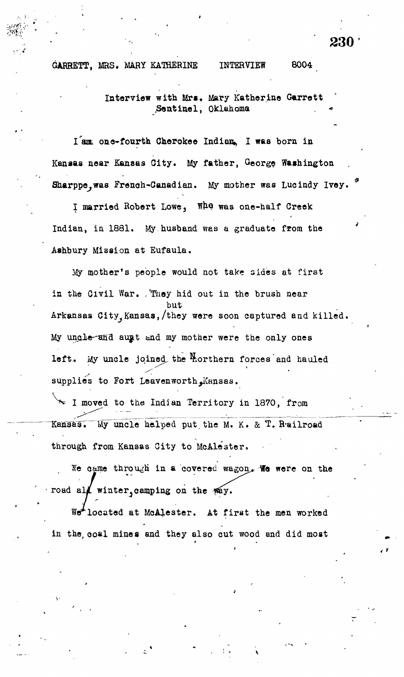GARBETT, MRS. MARY KATHERINE INTERVIEW 8004

Interview with Mrs. Mary Katherine Garrett .Sentinel, Oklahoma

one-fourth Cherokee Indian, I was born in Kansas near Kansas Oity. My father, Georg? Washington Sharppe.was French-Canadian. My mother was Lucindy Ivey.

I married Robert Lowe, Who was one-half Creek Indian, in 1881. My husband was a graduate from the Aahbury Mission at Eufaula.

Hy mother's people would not take sides at first in the Givil War. . They hid out in the brush near but Arkansas City,Kansas,/they were soon captured and killed. My ungle-and augt and my mother were the only ones left. My uncle joined the Morthern forces and hauled supplies to Fort Leavenworth Kansas.

 $\sim$  I moved to the Indian Territory in 1870, from Kansas. My uncle helped put. the M. K. & T. R-ailroad through from Kansas City to McAle'ster.

We came through in a covered wagon, We were on the road al $\ell$  winter, camping on the  $m$ y.

1 Werlocated at MoAlester. At first the men worked in the, coal mines and they also cut wood and did most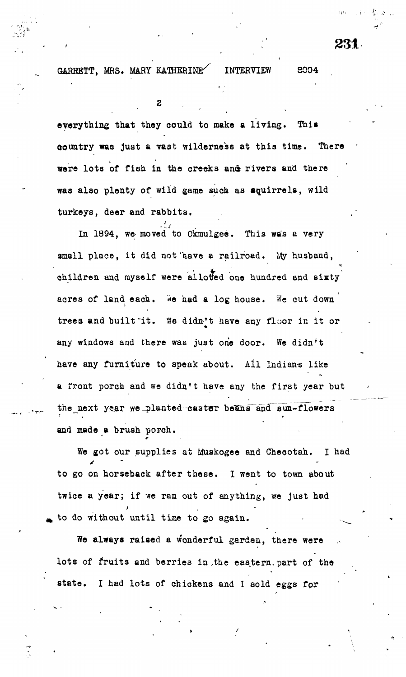231

 $\overline{y}$ 

**GARRETT, MRS. MARY KATHERINE^ INTERVIEW S004**

2

**everything that they could to make a living. This country was just a vast wilderness at this time. There •** were lots of fish in the creeks and rivers and there **was also plenty of wild game such as squirrels, wild turkeys, deer and rabbits.**

In 1894, we moved to Okmulgee. This was a very In 1894, we moved to Okraulgee. This was a very small place, it did not have a railroad. My husband, small place, i t did not'have a railroad. Ivty husband, children and myself were allotted one hundred and sixty  $\alpha$ acres of land each. We had a log house. We cut down acres of land each control of land each control of land a log house. We cut down to be cut down to be cut down trees and built "it. We didn't have any floor in it or trees and built "it. We didn't have any floor in i t or any windows and there was just one door. We didn't any windows and there was just one door. We didn't have any furniture to speak about. All Indians like a front porch and we didn't have any the first year but a front porch and we didn't have any the first year but the first year but the first year but the first year b<br>The first year but the first year but the first year but the first year but the first year but the first year the next year we planted castor beans and sun-flowers and made **a** brush porch.

We got our supplies at Muskogee and Checotah. I had to go on horseback after these. I went to town about twice a year; if we ran out of anything, we just had to do without until time to go again.

**We always raised** a wonderful garden, there were lots of fruits and berries in the eastern part of the state. I had lots of chickens and I sold eggs for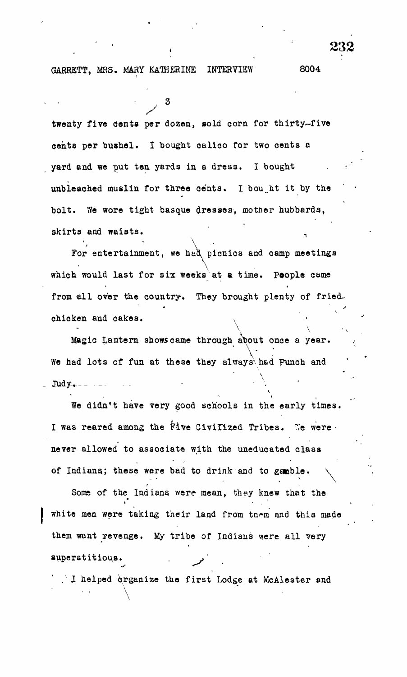GARRETT, MRS. MARY KATHERINE INTERVIEW 8004

twenty five cents per dozen, sold corn for thirty-five cents per bushel. I bought calico for two oents a yard and we put ten yards in a dress. I bought unbleached muslin for three cents. I bought it by the bolt. We wore tight basque dresses, mother hubbards, skirts and waists.

 $\sim$  232

For entertainment, we had picnics and camp meetings which would last for six weeks at a time. People came from all over the country. They brought plenty of fried. chicken and cakes.

Magic Lantern shows came through about once a year.  $\mathcal{L}_{\mathcal{L}}$  , and the shows came through about once a year. We had lots of fun at these they always had Punch and  $W_{\rm eff}$  is the function of function at the  $\Lambda$  $\text{Judy}$ .

We didn't have very good schools in the early times. I was reared among the five Civilized Tribes. We were never allowed to associate with the uneducated class of Indiana; these were bad to drink and to gamble.

Some of the Indians were mean, they knew that the white men were taking their land from tnem and this made I white men were taking their land from tnem and this made them want revenge. My tribe of Indian systems were all very stated with the Indian system were all very stated<br>The indian system was all very stated with the indian system was all very stated with the indian system was al

 $\therefore$  I helped organize the first Lodge at McAlester and

. In the first Lodge at McAlester end organize the first Lodge at  $M$